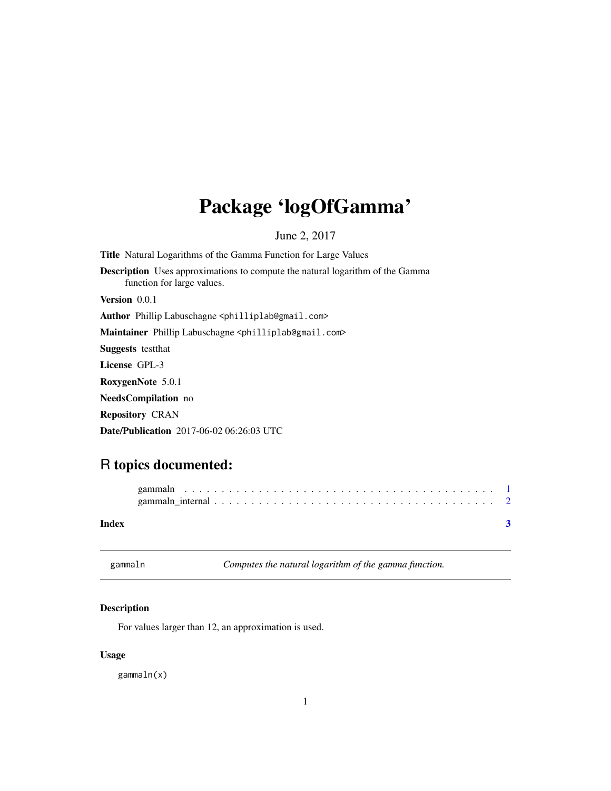## <span id="page-0-0"></span>Package 'logOfGamma'

June 2, 2017

Title Natural Logarithms of the Gamma Function for Large Values Description Uses approximations to compute the natural logarithm of the Gamma function for large values. Version 0.0.1 Author Phillip Labuschagne <philliplab@gmail.com> Maintainer Phillip Labuschagne <philliplab@gmail.com> Suggests testthat License GPL-3 RoxygenNote 5.0.1 NeedsCompilation no Repository CRAN

Date/Publication 2017-06-02 06:26:03 UTC

### R topics documented:

| Index |  |
|-------|--|

gammaln *Computes the natural logarithm of the gamma function.*

#### Description

For values larger than 12, an approximation is used.

#### Usage

gammaln(x)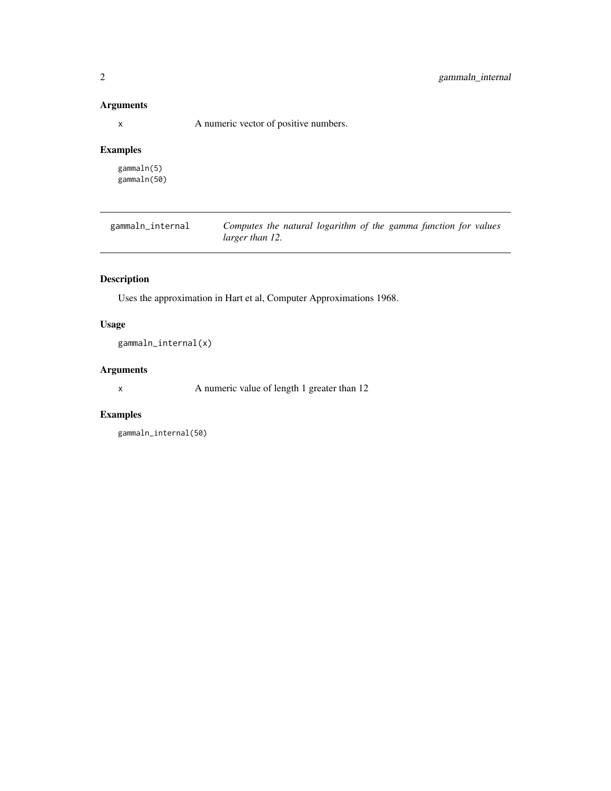#### <span id="page-1-0"></span>Arguments

x A numeric vector of positive numbers.

#### Examples

gammaln(5) gammaln(50)

gammaln\_internal *Computes the natural logarithm of the gamma function for values larger than 12.*

#### Description

Uses the approximation in Hart et al, Computer Approximations 1968.

#### Usage

gammaln\_internal(x)

#### Arguments

x A numeric value of length 1 greater than 12

#### Examples

```
gammaln_internal(50)
```